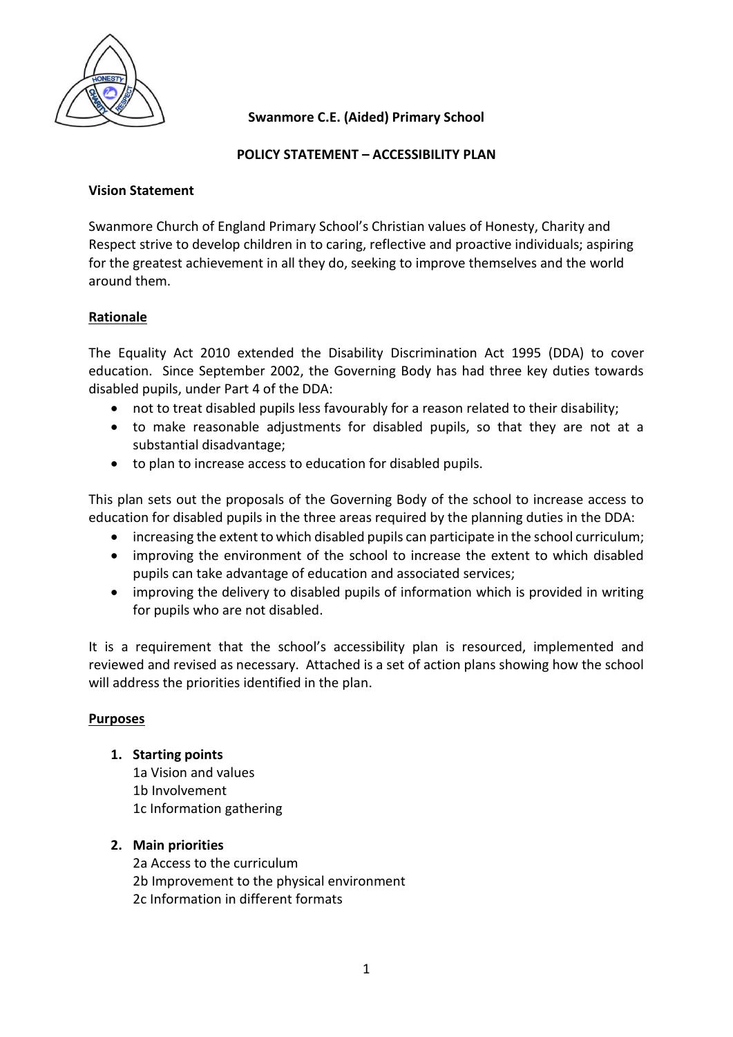

## **Swanmore C.E. (Aided) Primary School**

## **POLICY STATEMENT – ACCESSIBILITY PLAN**

#### **Vision Statement**

Swanmore Church of England Primary School's Christian values of Honesty, Charity and Respect strive to develop children in to caring, reflective and proactive individuals; aspiring for the greatest achievement in all they do, seeking to improve themselves and the world around them.

## **Rationale**

The Equality Act 2010 extended the Disability Discrimination Act 1995 (DDA) to cover education. Since September 2002, the Governing Body has had three key duties towards disabled pupils, under Part 4 of the DDA:

- not to treat disabled pupils less favourably for a reason related to their disability;
- to make reasonable adjustments for disabled pupils, so that they are not at a substantial disadvantage;
- to plan to increase access to education for disabled pupils.

This plan sets out the proposals of the Governing Body of the school to increase access to education for disabled pupils in the three areas required by the planning duties in the DDA:

- increasing the extent to which disabled pupils can participate in the school curriculum;
- improving the environment of the school to increase the extent to which disabled pupils can take advantage of education and associated services;
- improving the delivery to disabled pupils of information which is provided in writing for pupils who are not disabled.

It is a requirement that the school's accessibility plan is resourced, implemented and reviewed and revised as necessary. Attached is a set of action plans showing how the school will address the priorities identified in the plan.

## **Purposes**

**1. Starting points**

1a Vision and values 1b Involvement 1c Information gathering

## **2. Main priorities**

2a Access to the curriculum 2b Improvement to the physical environment 2c Information in different formats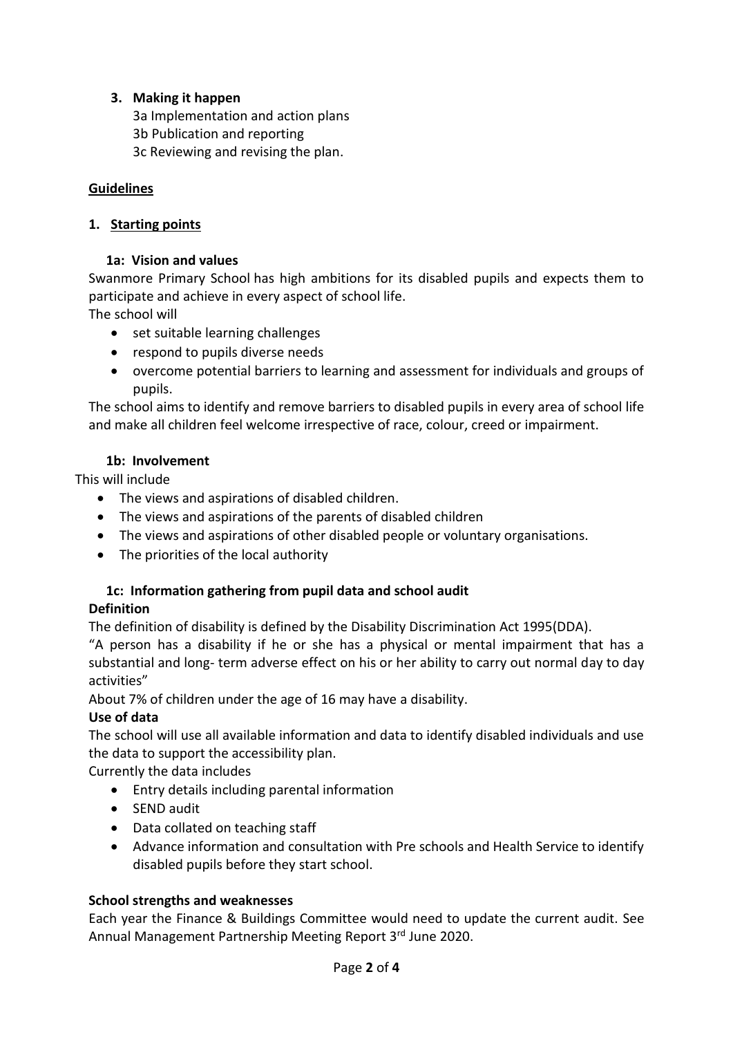# **3. Making it happen**

3a Implementation and action plans

- 3b Publication and reporting
- 3c Reviewing and revising the plan.

## **Guidelines**

## **1. Starting points**

## **1a: Vision and values**

Swanmore Primary School has high ambitions for its disabled pupils and expects them to participate and achieve in every aspect of school life.

The school will

- set suitable learning challenges
- respond to pupils diverse needs
- overcome potential barriers to learning and assessment for individuals and groups of pupils.

The school aims to identify and remove barriers to disabled pupils in every area of school life and make all children feel welcome irrespective of race, colour, creed or impairment.

## **1b: Involvement**

This will include

- The views and aspirations of disabled children.
- The views and aspirations of the parents of disabled children
- The views and aspirations of other disabled people or voluntary organisations.
- The priorities of the local authority

# **1c: Information gathering from pupil data and school audit**

# **Definition**

The definition of disability is defined by the Disability Discrimination Act 1995(DDA).

"A person has a disability if he or she has a physical or mental impairment that has a substantial and long- term adverse effect on his or her ability to carry out normal day to day activities"

About 7% of children under the age of 16 may have a disability.

# **Use of data**

The school will use all available information and data to identify disabled individuals and use the data to support the accessibility plan.

Currently the data includes

- Entry details including parental information
- SEND audit
- Data collated on teaching staff
- Advance information and consultation with Pre schools and Health Service to identify disabled pupils before they start school.

# **School strengths and weaknesses**

Each year the Finance & Buildings Committee would need to update the current audit. See Annual Management Partnership Meeting Report 3rd June 2020.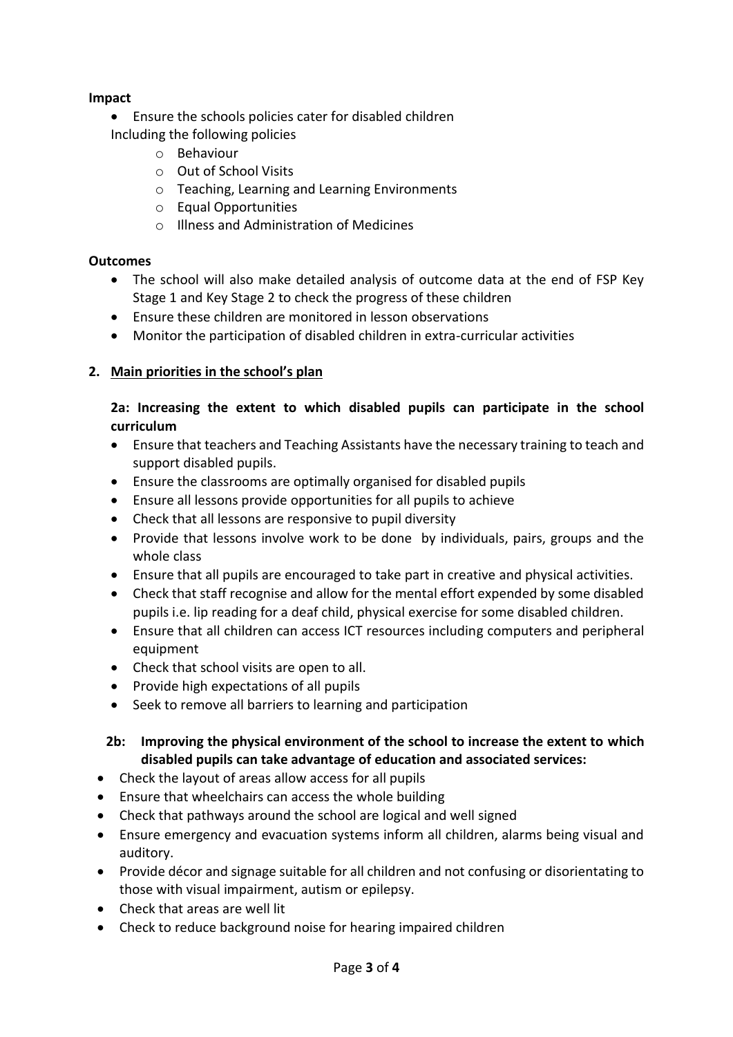# **Impact**

- Ensure the schools policies cater for disabled children Including the following policies
	- o Behaviour
	- o Out of School Visits
	- o Teaching, Learning and Learning Environments
	- o Equal Opportunities
	- o Illness and Administration of Medicines

## **Outcomes**

- The school will also make detailed analysis of outcome data at the end of FSP Key Stage 1 and Key Stage 2 to check the progress of these children
- Ensure these children are monitored in lesson observations
- Monitor the participation of disabled children in extra-curricular activities

# **2. Main priorities in the school's plan**

## **2a: Increasing the extent to which disabled pupils can participate in the school curriculum**

- Ensure that teachers and Teaching Assistants have the necessary training to teach and support disabled pupils.
- Ensure the classrooms are optimally organised for disabled pupils
- Ensure all lessons provide opportunities for all pupils to achieve
- Check that all lessons are responsive to pupil diversity
- Provide that lessons involve work to be done by individuals, pairs, groups and the whole class
- Ensure that all pupils are encouraged to take part in creative and physical activities.
- Check that staff recognise and allow for the mental effort expended by some disabled pupils i.e. lip reading for a deaf child, physical exercise for some disabled children.
- Ensure that all children can access ICT resources including computers and peripheral equipment
- Check that school visits are open to all.
- Provide high expectations of all pupils
- Seek to remove all barriers to learning and participation

# **2b: Improving the physical environment of the school to increase the extent to which disabled pupils can take advantage of education and associated services:**

- Check the layout of areas allow access for all pupils
- Ensure that wheelchairs can access the whole building
- Check that pathways around the school are logical and well signed
- Ensure emergency and evacuation systems inform all children, alarms being visual and auditory.
- Provide décor and signage suitable for all children and not confusing or disorientating to those with visual impairment, autism or epilepsy.
- Check that areas are well lit
- Check to reduce background noise for hearing impaired children